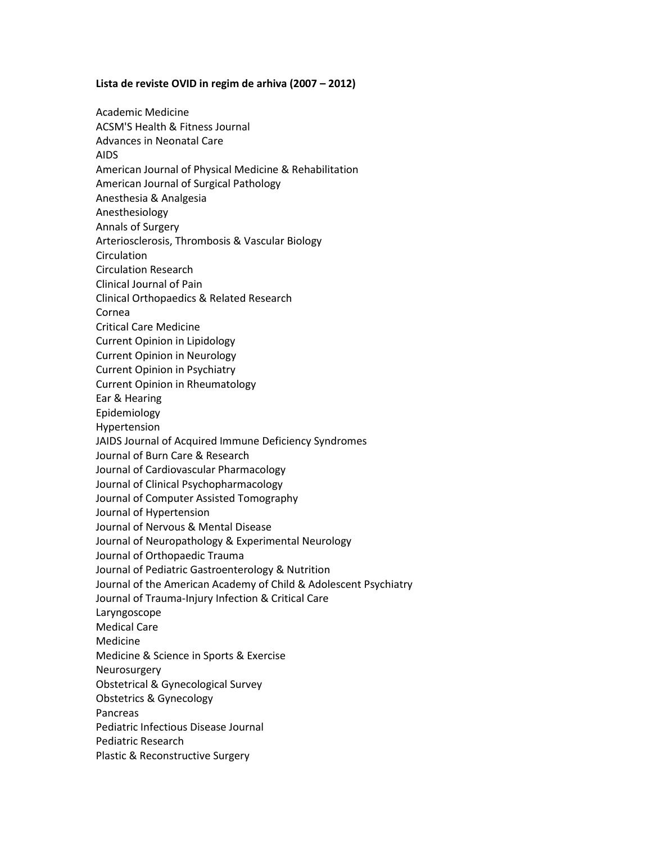## **Lista de reviste OVID in regim de arhiva (2007 – 2012)**

Academic Medicine ACSM'S Health & Fitness Journal Advances in Neonatal Care AIDS American Journal of Physical Medicine & Rehabilitation American Journal of Surgical Pathology Anesthesia & Analgesia Anesthesiology Annals of Surgery Arteriosclerosis, Thrombosis & Vascular Biology Circulation Circulation Research Clinical Journal of Pain Clinical Orthopaedics & Related Research Cornea Critical Care Medicine Current Opinion in Lipidology Current Opinion in Neurology Current Opinion in Psychiatry Current Opinion in Rheumatology Ear & Hearing Epidemiology Hypertension JAIDS Journal of Acquired Immune Deficiency Syndromes Journal of Burn Care & Research Journal of Cardiovascular Pharmacology Journal of Clinical Psychopharmacology Journal of Computer Assisted Tomography Journal of Hypertension Journal of Nervous & Mental Disease Journal of Neuropathology & Experimental Neurology Journal of Orthopaedic Trauma Journal of Pediatric Gastroenterology & Nutrition Journal of the American Academy of Child & Adolescent Psychiatry Journal of Trauma-Injury Infection & Critical Care Laryngoscope Medical Care Medicine Medicine & Science in Sports & Exercise Neurosurgery Obstetrical & Gynecological Survey Obstetrics & Gynecology Pancreas Pediatric Infectious Disease Journal Pediatric Research Plastic & Reconstructive Surgery